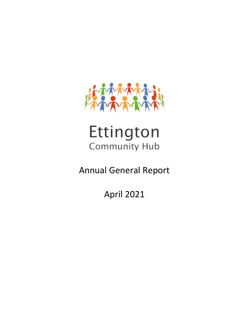

# Ettington Community Hub

Annual General Report

April 2021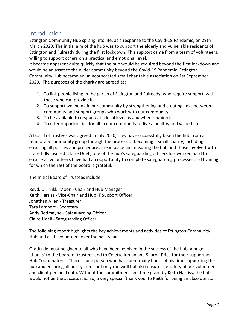## Introduction

Ettington Community Hub sprang into life, as a response to the Covid-19 Pandemic, on 29th March 2020. The initial aim of the hub was to support the elderly and vulnerable residents of Ettington and Fulready during the first lockdown. This support came from a team of volunteers, willing to support others on a practical and emotional level.

It became apparent quite quickly that the hub would be required beyond the first lockdown and would be an asset to the wider community beyond the Covid-19 Pandemic. Ettington Community Hub became an unincorporated small charitable association on 1st September 2020. The purposes of the charity are agreed as:

- 1. To link people living in the parish of Ettington and Fulready, who require support, with those who can provide it.
- 2. To support wellbeing in our community by strengthening and creating links between community and support groups who work with our community.
- 3. To be available to respond at a local level as and when required.
- 4. To offer opportunities for all in our community to live a healthy and valued life.

A board of trustees was agreed in July 2020, they have successfully taken the hub from a temporary community group through the process of becoming a small charity, including ensuring all policies and procedures are in place and ensuring the hub and those involved with it are fully insured. Claire Udell, one of the hub's safeguarding officers has worked hard to ensure all volunteers have had an opportunity to complete safeguarding processes and training for which the rest of the board is grateful.

The Initial Board of Trustees include

Revd. Dr. Nikki Moon - Chair and Hub Manager Keith Harriss - Vice-Chair and Hub IT Support Officer Jonathan Allen - Treasurer Tara Lambert - Secretary Andy Redmayne - Safeguarding Officer Claire Udell - Safeguarding Officer

The following report highlights the key achievements and activities of Ettington Community Hub and all its volunteers over the past year.

Gratitude must be given to all who have been involved in the success of the hub, a huge 'thanks' to the board of trustees and to Colette Inman and Sharon Price for their support as Hub Coordinators. There is one person who has spent many hours of his time supporting the hub and ensuring all our systems not only run well but also ensure the safety of our volunteer and client personal data. Without the commitment and time given by Keith Harriss, the hub would not be the success it is. So, a very special 'thank you' to Keith for being an absolute star.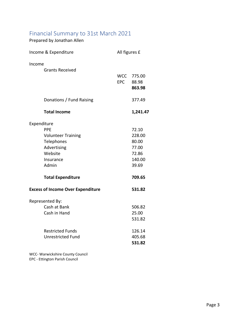| Financial Summary to 31st March 2021<br>Prepared by Jonathan Allen                                                                               |               |                                                                         |
|--------------------------------------------------------------------------------------------------------------------------------------------------|---------------|-------------------------------------------------------------------------|
| Income & Expenditure                                                                                                                             | All figures £ |                                                                         |
| Income<br><b>Grants Received</b>                                                                                                                 | <b>EPC</b>    | WCC 775.00<br>88.98<br>863.98                                           |
| Donations / Fund Raising                                                                                                                         |               | 377.49                                                                  |
| <b>Total Income</b>                                                                                                                              |               | 1,241.47                                                                |
| Expenditure<br><b>PPE</b><br><b>Volunteer Training</b><br>Telephones<br>Advertising<br>Website<br>Insurance<br>Admin<br><b>Total Expenditure</b> |               | 72.10<br>228.00<br>80.00<br>77.00<br>72.86<br>140.00<br>39.69<br>709.65 |
| <b>Excess of Income Over Expenditure</b>                                                                                                         |               | 531.82                                                                  |
| Represented By:<br>Cash at Bank<br>Cash in Hand                                                                                                  |               | 506.82<br>25.00<br>531.82                                               |
| <b>Restricted Funds</b><br><b>Unrestricted Fund</b>                                                                                              |               | 126.14<br>405.68<br>531.82                                              |

WCC- Warwickshire County Council EPC - Ettington Parish Council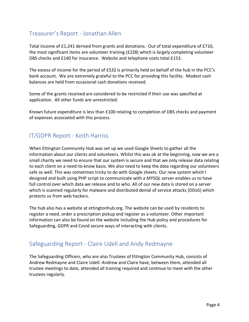## Treasurer's Report - Jonathan Allen

Total income of £1,241 derived from grants and donations. Out of total expenditure of £710, the most significant items are volunteer training (£228) which is largely completing volunteer DBS checks and £140 for insurance. Website and telephone costs total £153.

The excess of income for the period of £532 is primarily held on behalf of the hub in the PCC's bank account. We are extremely grateful to the PCC for providing this facility. Modest cash balances are held from occasional cash donations received.

Some of the grants received are considered to be restricted if their use was specified at application. All other funds are unrestricted.

Known future expenditure is less than £100 relating to completion of DBS checks and payment of expenses associated with this process.

## IT/GDPR Report - Keith Harriss

When Ettington Community Hub was set up we used Google Sheets to gather all the information about our clients and volunteers. Whilst this was ok at the beginning, now we are a small charity we need to ensure that our system is secure and that we only release data relating to each client on a need-to-know basis. We also need to keep the data regarding our volunteers safe as well. This was sometimes tricky to do with Google sheets. Our new system which I designed and built using PHP script to communicate with a MYSQL server enables us to have full control over which data we release and to who. All of our new data is stored on a server which is scanned regularly for malware and distributed denial of service attacks (DDoS) which protects us from web hackers.

The hub also has a website at ettingtonhub.org. The website can be used by residents to register a need, order a prescription pickup and register as a volunteer. Other important information can also be found on the website including the Hub policy and procedures for Safeguarding, GDPR and Covid secure ways of interacting with clients.

## Safeguarding Report - Claire Udell and Andy Redmayne

The Safeguarding Officers, who are also Trustees of Ettington Community Hub, consists of Andrew Redmayne and Claire Udell. Andrew and Claire have, between them, attended all trustee meetings to date, attended all training required and continue to meet with the other trustees regularly.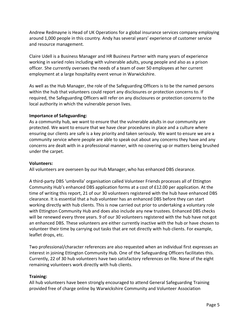Andrew Redmayne is Head of UK Operations for a global insurance services company employing around 1,000 people in this country. Andy has several years' experience of customer service and resource management.

Claire Udell is a Business Manager and HR Business Partner with many years of experience working in varied roles including with vulnerable adults, young people and also as a prison officer. She currently oversees the needs of a team of over 50 employees at her current employment at a large hospitality event venue in Warwickshire.

As well as the Hub Manager, the role of the Safeguarding Officers is to be the named persons within the hub that volunteers could report any disclosures or protection concerns to. If required, the Safeguarding Officers will refer on any disclosures or protection concerns to the local authority in which the vulnerable person lives.

#### **Importance of Safeguarding:**

As a community hub, we want to ensure that the vulnerable adults in our community are protected. We want to ensure that we have clear procedures in place and a culture where ensuring our clients are safe is a key priority and taken seriously. We want to ensure we are a community service where people are able to speak out about any concerns they have and any concerns are dealt with in a professional manner, with no covering up or matters being brushed under the carpet.

#### **Volunteers:**

All volunteers are overseen by our Hub Manager, who has enhanced DBS clearance.

A third-party DBS 'umbrella' organisation called Volunteer Friends processes all of Ettington Community Hub's enhanced DBS application forms at a cost of £12.00 per application. At the time of writing this report, 21 of our 30 volunteers registered with the hub have enhanced DBS clearance. It is essential that a hub volunteer has an enhanced DBS before they can start working directly with hub clients. This is now carried out prior to undertaking a voluntary role with Ettington Community Hub and does also include any new trustees. Enhanced DBS checks will be renewed every three years. 9 of our 30 volunteers registered with the hub have not got an enhanced DBS. These volunteers are either currently inactive with the hub or have chosen to volunteer their time by carrying out tasks that are not directly with hub clients. For example, leaflet drops, etc.

Two professional/character references are also requested when an individual first expresses an interest in joining Ettington Community Hub. One of the Safeguarding Officers facilitates this. Currently, 22 of 30 hub volunteers have two satisfactory references on file. None of the eight remaining volunteers work directly with hub clients.

#### **Training:**

All hub volunteers have been strongly encouraged to attend General Safeguarding Training provided free of charge online by Warwickshire Community and Volunteer Association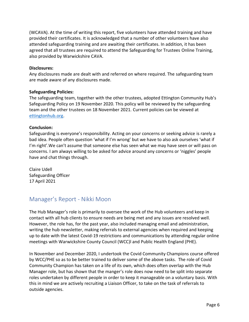(WCAVA). At the time of writing this report, five volunteers have attended training and have provided their certificates. It is acknowledged that a number of other volunteers have also attended safeguarding training and are awaiting their certificates. In addition, it has been agreed that all trustees are required to attend the Safeguarding for Trustees Online Training, also provided by Warwickshire CAVA.

#### **Disclosures:**

Any disclosures made are dealt with and referred on where required. The safeguarding team are made aware of any disclosures made.

#### **Safeguarding Policies:**

The safeguarding team, together with the other trustees, adopted Ettington Community Hub's Safeguarding Policy on 19 November 2020. This policy will be reviewed by the safeguarding team and the other trustees on 18 November 2021. Current policies can be viewed at [ettingtonhub.org.](http://ettingtonhub.org/)

#### **Conclusion:**

Safeguarding is everyone's responsibility. Acting on your concerns or seeking advice is rarely a bad idea. People often question 'what if I'm wrong' but we have to also ask ourselves 'what if I'm right'. We can't assume that someone else has seen what we may have seen or will pass on concerns. I am always willing to be asked for advice around any concerns or 'niggles' people have and chat things through.

Claire Udell Safeguarding Officer 17 April 2021

## Manager's Report - Nikki Moon

The Hub Manager's role is primarily to oversee the work of the Hub volunteers and keep in contact with all hub clients to ensure needs are being met and any issues are resolved well. However, the role has, for the past year, also included managing email and administration, writing the hub newsletter, making referrals to external agencies when required and keeping up to date with the latest Covid-19 restrictions and communications by attending regular online meetings with Warwickshire County Council (WCC)l and Public Health England (PHE).

In November and December 2020, I undertook the Covid Community Champions course offered by WCC/PHE so as to be better trained to deliver some of the above tasks. The role of Covid Community Champion has taken on a life of its own, which does often overlap with the Hub Manager role, but has shown that the manger's role does now need to be split into separate roles undertaken by different people in order to keep it manageable on a voluntary basis. With this in mind we are actively recruiting a Liaison Officer, to take on the task of referrals to outside agencies.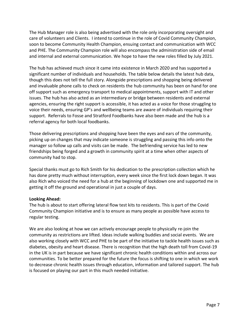The Hub Manager role is also being advertised with the role only incorporating oversight and care of volunteers and Clients. I intend to continue in the role of Covid Community Champion, soon to become Community Health Champion, ensuing contact and communication with WCC and PHE. The Community Champion role will also encompass the administration side of email and internal and external communication. We hope to have the new roles filled by July 2021.

The hub has achieved much since it came into existence in March 2020 and has supported a significant number of individuals and households. The table below details the latest hub data, though this does not tell the full story. Alongside prescriptions and shopping being delivered and invaluable phone calls to check on residents the hub community has been on hand for one off support such as emergency transport to medical appointments, support with IT and other issues. The hub has also acted as an intermediary or bridge between residents and external agencies, ensuring the right support is accessible, it has acted as a voice for those struggling to voice their needs, ensuring GP's and wellbeing teams are aware of individuals requiring their support. Referrals to Fosse and Stratford Foodbanks have also been made and the hub is a referral agency for both local foodbanks.

Those delivering prescriptions and shopping have been the eyes and ears of the community, picking up on changes that may indicate someone is struggling and passing this info onto the manager so follow up calls and visits can be made. The befriending service has led to new friendships being forged and a growth in community spirit at a time when other aspects of community had to stop.

Special thanks must go to Rich Smith for his dedication to the prescription collection which he has done pretty much without interruption, every week since the first lock down began. It was also Rich who voiced the need for a hub at the beginning of lockdown one and supported me in getting it off the ground and operational in just a couple of days.

### **Looking Ahead:**

The hub is about to start offering lateral flow test kits to residents. This is part of the Covid Community Champion initiative and is to ensure as many people as possible have access to regular testing.

We are also looking at how we can actively encourage people to physically re-join the community as restrictions are lifted. Ideas include walking buddies and social events. We are also working closely with WCC and PHE to be part of the initiative to tackle health issues such as diabetes, obesity and heart disease. There is recognition that the high death toll from Covid-19 in the UK is in part because we have significant chronic health conditions within and across our communities. To be better prepared for the future the focus is shifting to one in which we work to decrease chronic health issues through education, information and tailored support. The hub is focused on playing our part in this much needed initiative.